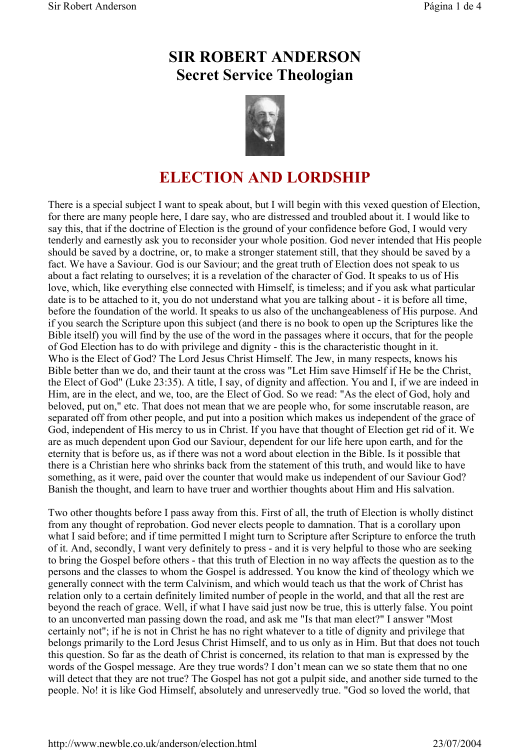## **SIR ROBERT ANDERSON Secret Service Theologian**



## **ELECTION AND LORDSHIP**

There is a special subject I want to speak about, but I will begin with this vexed question of Election, for there are many people here, I dare say, who are distressed and troubled about it. I would like to say this, that if the doctrine of Election is the ground of your confidence before God, I would very tenderly and earnestly ask you to reconsider your whole position. God never intended that His people should be saved by a doctrine, or, to make a stronger statement still, that they should be saved by a fact. We have a Saviour. God is our Saviour; and the great truth of Election does not speak to us about a fact relating to ourselves; it is a revelation of the character of God. It speaks to us of His love, which, like everything else connected with Himself, is timeless; and if you ask what particular date is to be attached to it, you do not understand what you are talking about - it is before all time, before the foundation of the world. It speaks to us also of the unchangeableness of His purpose. And if you search the Scripture upon this subject (and there is no book to open up the Scriptures like the Bible itself) you will find by the use of the word in the passages where it occurs, that for the people of God Election has to do with privilege and dignity - this is the characteristic thought in it. Who is the Elect of God? The Lord Jesus Christ Himself. The Jew, in many respects, knows his Bible better than we do, and their taunt at the cross was "Let Him save Himself if He be the Christ, the Elect of God" (Luke 23:35). A title, I say, of dignity and affection. You and I, if we are indeed in Him, are in the elect, and we, too, are the Elect of God. So we read: "As the elect of God, holy and beloved, put on," etc. That does not mean that we are people who, for some inscrutable reason, are separated off from other people, and put into a position which makes us independent of the grace of God, independent of His mercy to us in Christ. If you have that thought of Election get rid of it. We are as much dependent upon God our Saviour, dependent for our life here upon earth, and for the eternity that is before us, as if there was not a word about election in the Bible. Is it possible that there is a Christian here who shrinks back from the statement of this truth, and would like to have something, as it were, paid over the counter that would make us independent of our Saviour God? Banish the thought, and learn to have truer and worthier thoughts about Him and His salvation.

Two other thoughts before I pass away from this. First of all, the truth of Election is wholly distinct from any thought of reprobation. God never elects people to damnation. That is a corollary upon what I said before; and if time permitted I might turn to Scripture after Scripture to enforce the truth of it. And, secondly, I want very definitely to press - and it is very helpful to those who are seeking to bring the Gospel before others - that this truth of Election in no way affects the question as to the persons and the classes to whom the Gospel is addressed. You know the kind of theology which we generally connect with the term Calvinism, and which would teach us that the work of Christ has relation only to a certain definitely limited number of people in the world, and that all the rest are beyond the reach of grace. Well, if what I have said just now be true, this is utterly false. You point to an unconverted man passing down the road, and ask me "Is that man elect?" I answer "Most certainly not"; if he is not in Christ he has no right whatever to a title of dignity and privilege that belongs primarily to the Lord Jesus Christ Himself, and to us only as in Him. But that does not touch this question. So far as the death of Christ is concerned, its relation to that man is expressed by the words of the Gospel message. Are they true words? I don't mean can we so state them that no one will detect that they are not true? The Gospel has not got a pulpit side, and another side turned to the people. No! it is like God Himself, absolutely and unreservedly true. "God so loved the world, that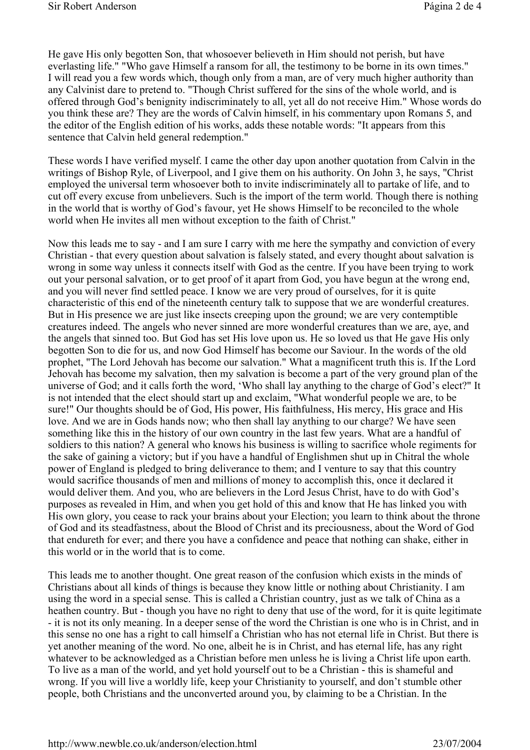He gave His only begotten Son, that whosoever believeth in Him should not perish, but have everlasting life." "Who gave Himself a ransom for all, the testimony to be borne in its own times." I will read you a few words which, though only from a man, are of very much higher authority than any Calvinist dare to pretend to. "Though Christ suffered for the sins of the whole world, and is offered through God's benignity indiscriminately to all, yet all do not receive Him." Whose words do you think these are? They are the words of Calvin himself, in his commentary upon Romans 5, and the editor of the English edition of his works, adds these notable words: "It appears from this sentence that Calvin held general redemption."

These words I have verified myself. I came the other day upon another quotation from Calvin in the writings of Bishop Ryle, of Liverpool, and I give them on his authority. On John 3, he says, "Christ employed the universal term whosoever both to invite indiscriminately all to partake of life, and to cut off every excuse from unbelievers. Such is the import of the term world. Though there is nothing in the world that is worthy of God's favour, yet He shows Himself to be reconciled to the whole world when He invites all men without exception to the faith of Christ."

Now this leads me to say - and I am sure I carry with me here the sympathy and conviction of every Christian - that every question about salvation is falsely stated, and every thought about salvation is wrong in some way unless it connects itself with God as the centre. If you have been trying to work out your personal salvation, or to get proof of it apart from God, you have begun at the wrong end, and you will never find settled peace. I know we are very proud of ourselves, for it is quite characteristic of this end of the nineteenth century talk to suppose that we are wonderful creatures. But in His presence we are just like insects creeping upon the ground; we are very contemptible creatures indeed. The angels who never sinned are more wonderful creatures than we are, aye, and the angels that sinned too. But God has set His love upon us. He so loved us that He gave His only begotten Son to die for us, and now God Himself has become our Saviour. In the words of the old prophet, "The Lord Jehovah has become our salvation." What a magnificent truth this is. If the Lord Jehovah has become my salvation, then my salvation is become a part of the very ground plan of the universe of God; and it calls forth the word, 'Who shall lay anything to the charge of God's elect?" It is not intended that the elect should start up and exclaim, "What wonderful people we are, to be sure!" Our thoughts should be of God, His power, His faithfulness, His mercy, His grace and His love. And we are in Gods hands now; who then shall lay anything to our charge? We have seen something like this in the history of our own country in the last few years. What are a handful of soldiers to this nation? A general who knows his business is willing to sacrifice whole regiments for the sake of gaining a victory; but if you have a handful of Englishmen shut up in Chitral the whole power of England is pledged to bring deliverance to them; and I venture to say that this country would sacrifice thousands of men and millions of money to accomplish this, once it declared it would deliver them. And you, who are believers in the Lord Jesus Christ, have to do with God's purposes as revealed in Him, and when you get hold of this and know that He has linked you with His own glory, you cease to rack your brains about your Election; you learn to think about the throne of God and its steadfastness, about the Blood of Christ and its preciousness, about the Word of God that endureth for ever; and there you have a confidence and peace that nothing can shake, either in this world or in the world that is to come.

This leads me to another thought. One great reason of the confusion which exists in the minds of Christians about all kinds of things is because they know little or nothing about Christianity. I am using the word in a special sense. This is called a Christian country, just as we talk of China as a heathen country. But - though you have no right to deny that use of the word, for it is quite legitimate - it is not its only meaning. In a deeper sense of the word the Christian is one who is in Christ, and in this sense no one has a right to call himself a Christian who has not eternal life in Christ. But there is yet another meaning of the word. No one, albeit he is in Christ, and has eternal life, has any right whatever to be acknowledged as a Christian before men unless he is living a Christ life upon earth. To live as a man of the world, and yet hold yourself out to be a Christian - this is shameful and wrong. If you will live a worldly life, keep your Christianity to yourself, and don't stumble other people, both Christians and the unconverted around you, by claiming to be a Christian. In the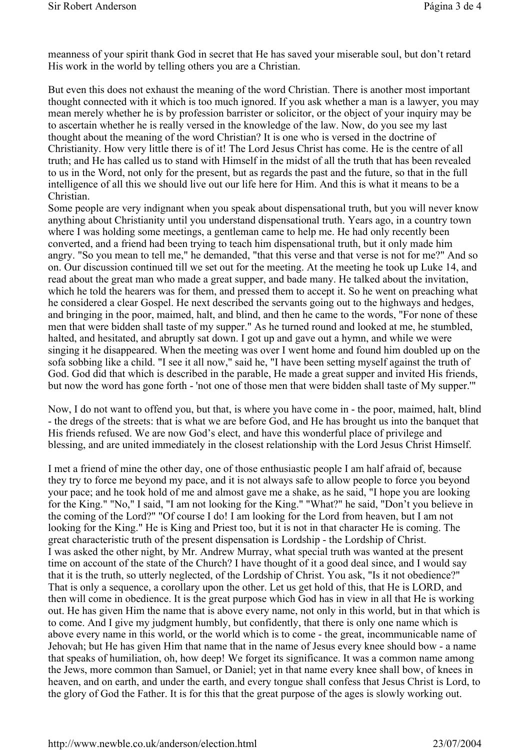meanness of your spirit thank God in secret that He has saved your miserable soul, but don't retard His work in the world by telling others you are a Christian.

But even this does not exhaust the meaning of the word Christian. There is another most important thought connected with it which is too much ignored. If you ask whether a man is a lawyer, you may mean merely whether he is by profession barrister or solicitor, or the object of your inquiry may be to ascertain whether he is really versed in the knowledge of the law. Now, do you see my last thought about the meaning of the word Christian? It is one who is versed in the doctrine of Christianity. How very little there is of it! The Lord Jesus Christ has come. He is the centre of all truth; and He has called us to stand with Himself in the midst of all the truth that has been revealed to us in the Word, not only for the present, but as regards the past and the future, so that in the full intelligence of all this we should live out our life here for Him. And this is what it means to be a Christian.

Some people are very indignant when you speak about dispensational truth, but you will never know anything about Christianity until you understand dispensational truth. Years ago, in a country town where I was holding some meetings, a gentleman came to help me. He had only recently been converted, and a friend had been trying to teach him dispensational truth, but it only made him angry. "So you mean to tell me," he demanded, "that this verse and that verse is not for me?" And so on. Our discussion continued till we set out for the meeting. At the meeting he took up Luke 14, and read about the great man who made a great supper, and bade many. He talked about the invitation, which he told the hearers was for them, and pressed them to accept it. So he went on preaching what he considered a clear Gospel. He next described the servants going out to the highways and hedges, and bringing in the poor, maimed, halt, and blind, and then he came to the words, "For none of these men that were bidden shall taste of my supper." As he turned round and looked at me, he stumbled, halted, and hesitated, and abruptly sat down. I got up and gave out a hymn, and while we were singing it he disappeared. When the meeting was over I went home and found him doubled up on the sofa sobbing like a child. "I see it all now," said he, "I have been setting myself against the truth of God. God did that which is described in the parable, He made a great supper and invited His friends, but now the word has gone forth - 'not one of those men that were bidden shall taste of My supper.'"

Now, I do not want to offend you, but that, is where you have come in - the poor, maimed, halt, blind - the dregs of the streets: that is what we are before God, and He has brought us into the banquet that His friends refused. We are now God's elect, and have this wonderful place of privilege and blessing, and are united immediately in the closest relationship with the Lord Jesus Christ Himself.

I met a friend of mine the other day, one of those enthusiastic people I am half afraid of, because they try to force me beyond my pace, and it is not always safe to allow people to force you beyond your pace; and he took hold of me and almost gave me a shake, as he said, "I hope you are looking for the King." "No," I said, "I am not looking for the King." "What?" he said, "Don't you believe in the coming of the Lord?" "Of course I do! I am looking for the Lord from heaven, but I am not looking for the King." He is King and Priest too, but it is not in that character He is coming. The great characteristic truth of the present dispensation is Lordship - the Lordship of Christ. I was asked the other night, by Mr. Andrew Murray, what special truth was wanted at the present time on account of the state of the Church? I have thought of it a good deal since, and I would say that it is the truth, so utterly neglected, of the Lordship of Christ. You ask, "Is it not obedience?" That is only a sequence, a corollary upon the other. Let us get hold of this, that He is LORD, and then will come in obedience. It is the great purpose which God has in view in all that He is working out. He has given Him the name that is above every name, not only in this world, but in that which is to come. And I give my judgment humbly, but confidently, that there is only one name which is above every name in this world, or the world which is to come - the great, incommunicable name of Jehovah; but He has given Him that name that in the name of Jesus every knee should bow - a name that speaks of humiliation, oh, how deep! We forget its significance. It was a common name among the Jews, more common than Samuel, or Daniel; yet in that name every knee shall bow, of knees in heaven, and on earth, and under the earth, and every tongue shall confess that Jesus Christ is Lord, to the glory of God the Father. It is for this that the great purpose of the ages is slowly working out.